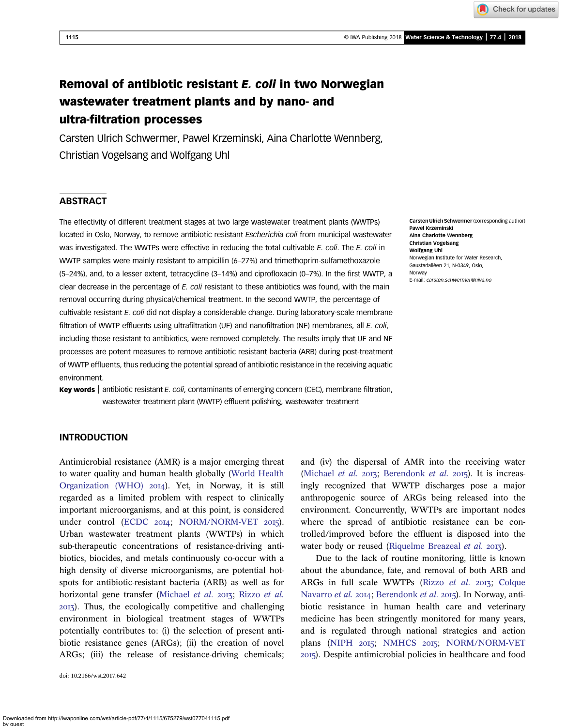# Removal of antibiotic resistant E. coli in two Norwegian wastewater treatment plants and by nano- and ultra-filtration processes

Carsten Ulrich Schwermer, Pawel Krzeminski, Aina Charlotte Wennberg, Christian Vogelsang and Wolfgang Uhl

# **ABSTRACT**

The effectivity of different treatment stages at two large wastewater treatment plants (WWTPs) located in Oslo, Norway, to remove antibiotic resistant Escherichia coli from municipal wastewater was investigated. The WWTPs were effective in reducing the total cultivable E. coli. The E. coli in WWTP samples were mainly resistant to ampicillin (6–27%) and trimethoprim-sulfamethoxazole (5–24%), and, to a lesser extent, tetracycline (3–14%) and ciprofloxacin (0–7%). In the first WWTP, a clear decrease in the percentage of E. coli resistant to these antibiotics was found, with the main removal occurring during physical/chemical treatment. In the second WWTP, the percentage of cultivable resistant E. coli did not display a considerable change. During laboratory-scale membrane filtration of WWTP effluents using ultrafiltration (UF) and nanofiltration (NF) membranes, all E. coli, including those resistant to antibiotics, were removed completely. The results imply that UF and NF processes are potent measures to remove antibiotic resistant bacteria (ARB) during post-treatment of WWTP effluents, thus reducing the potential spread of antibiotic resistance in the receiving aquatic environment.

Key words | antibiotic resistant E. coli, contaminants of emerging concern (CEC), membrane filtration, wastewater treatment plant (WWTP) effluent polishing, wastewater treatment

Carsten Ulrich Schwermer (corresponding author) Pawel Krzeminski Aina Charlotte Wennberg Christian Vogelsang Wolfgang Uhl Norwegian Institute for Water Research, Gaustadalléen 21, N-0349, Oslo, Norway E-mail: [carsten.schwermer@niva.no](mailto:carsten.schwermer@niva.no)

## INTRODUCTION

Antimicrobial resistance (AMR) is a major emerging threat to water quality and human health globally ([World Health](#page-11-0) [Organization \(WHO\)](#page-11-0)  $20I4$ ). Yet, in Norway, it is still regarded as a limited problem with respect to clinically important microorganisms, and at this point, is considered under control [\(ECDC](#page-11-0) 2014; [NORM/NORM-VET](#page-11-0) 2015). Urban wastewater treatment plants (WWTPs) in which sub-therapeutic concentrations of resistance-driving antibiotics, biocides, and metals continuously co-occur with a high density of diverse microorganisms, are potential hotspots for antibiotic-resistant bacteria (ARB) as well as for horizontal gene transfer [\(Michael](#page-11-0) et al. 2013; [Rizzo](#page-11-0) et al. ). Thus, the ecologically competitive and challenging environment in biological treatment stages of WWTPs potentially contributes to: (i) the selection of present antibiotic resistance genes (ARGs); (ii) the creation of novel ARGs; (iii) the release of resistance-driving chemicals;

doi: 10.2166/wst.2017.642

and (iv) the dispersal of AMR into the receiving water [\(Michael](#page-11-0) et al. 2013; [Berendonk](#page-10-0) et al. 2015). It is increasingly recognized that WWTP discharges pose a major anthropogenic source of ARGs being released into the environment. Concurrently, WWTPs are important nodes where the spread of antibiotic resistance can be controlled/improved before the effluent is disposed into the water body or reused ([Riquelme Breazeal](#page-11-0) et al. 2013).

Due to the lack of routine monitoring, little is known about the abundance, fate, and removal of both ARB and ARGs in full scale WWTPs [\(Rizzo](#page-11-0) et al. 2013; [Colque](#page-11-0) [Navarro](#page-11-0) et al. 2014; [Berendonk](#page-10-0) et al. 2015). In Norway, antibiotic resistance in human health care and veterinary medicine has been stringently monitored for many years, and is regulated through national strategies and action plans ([NIPH](#page-11-0) 2015; [NMHCS](#page-11-0) 2015; [NORM/NORM-VET](#page-11-0) ). Despite antimicrobial policies in healthcare and food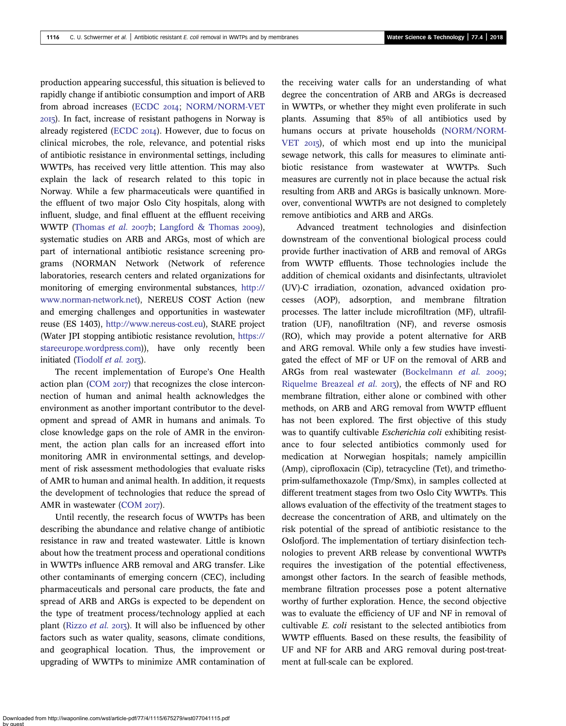production appearing successful, this situation is believed to rapidly change if antibiotic consumption and import of ARB from abroad increases ([ECDC](#page-11-0) 2014; [NORM/NORM-VET](#page-11-0) ). In fact, increase of resistant pathogens in Norway is already registered [\(ECDC](#page-11-0) 2014). However, due to focus on clinical microbes, the role, relevance, and potential risks of antibiotic resistance in environmental settings, including WWTPs, has received very little attention. This may also explain the lack of research related to this topic in Norway. While a few pharmaceuticals were quantified in the effluent of two major Oslo City hospitals, along with influent, sludge, and final effluent at the effluent receiving WWTP ([Thomas](#page-11-0) et al. 2007b; [Langford & Thomas](#page-11-0) 2009), systematic studies on ARB and ARGs, most of which are part of international antibiotic resistance screening programs (NORMAN Network (Network of reference laboratories, research centers and related organizations for monitoring of emerging environmental substances, [http://](http://www.norman-network.net) [www.norman-network.net\)](http://www.norman-network.net), NEREUS COST Action (new and emerging challenges and opportunities in wastewater reuse (ES 1403), [http://www.nereus-cost.eu\)](http://www.nereus-cost.eu), StARE project (Water JPI stopping antibiotic resistance revolution, [https://](https://stareeurope.wordpress.com) [stareeurope.wordpress.com\)](https://stareeurope.wordpress.com)), have only recently been initiated [\(Tiodolf](#page-11-0)  $et$  al. 2013).

The recent implementation of Europe's One Health action plan  $(COM 2017)$  $(COM 2017)$  that recognizes the close interconnection of human and animal health acknowledges the environment as another important contributor to the development and spread of AMR in humans and animals. To close knowledge gaps on the role of AMR in the environment, the action plan calls for an increased effort into monitoring AMR in environmental settings, and development of risk assessment methodologies that evaluate risks of AMR to human and animal health. In addition, it requests the development of technologies that reduce the spread of AMR in wastewater [\(COM](#page-11-0) 2017).

Until recently, the research focus of WWTPs has been describing the abundance and relative change of antibiotic resistance in raw and treated wastewater. Little is known about how the treatment process and operational conditions in WWTPs influence ARB removal and ARG transfer. Like other contaminants of emerging concern (CEC), including pharmaceuticals and personal care products, the fate and spread of ARB and ARGs is expected to be dependent on the type of treatment process/technology applied at each plant ([Rizzo](#page-11-0) *et al.* 2013). It will also be influenced by other factors such as water quality, seasons, climate conditions, and geographical location. Thus, the improvement or upgrading of WWTPs to minimize AMR contamination of the receiving water calls for an understanding of what degree the concentration of ARB and ARGs is decreased in WWTPs, or whether they might even proliferate in such plants. Assuming that 85% of all antibiotics used by humans occurs at private households ([NORM/NORM-](#page-11-0)[VET](#page-11-0) 2015), of which most end up into the municipal sewage network, this calls for measures to eliminate antibiotic resistance from wastewater at WWTPs. Such measures are currently not in place because the actual risk resulting from ARB and ARGs is basically unknown. Moreover, conventional WWTPs are not designed to completely remove antibiotics and ARB and ARGs.

Advanced treatment technologies and disinfection downstream of the conventional biological process could provide further inactivation of ARB and removal of ARGs from WWTP effluents. Those technologies include the addition of chemical oxidants and disinfectants, ultraviolet (UV)-C irradiation, ozonation, advanced oxidation processes (AOP), adsorption, and membrane filtration processes. The latter include microfiltration (MF), ultrafiltration (UF), nanofiltration (NF), and reverse osmosis (RO), which may provide a potent alternative for ARB and ARG removal. While only a few studies have investigated the effect of MF or UF on the removal of ARB and ARGs from real wastewater [\(Bockelmann](#page-11-0) et al. 2009; [Riquelme Breazeal](#page-11-0) *et al.*  $2013$ , the effects of NF and RO membrane filtration, either alone or combined with other methods, on ARB and ARG removal from WWTP effluent has not been explored. The first objective of this study was to quantify cultivable *Escherichia coli* exhibiting resistance to four selected antibiotics commonly used for medication at Norwegian hospitals; namely ampicillin (Amp), ciprofloxacin (Cip), tetracycline (Tet), and trimethoprim-sulfamethoxazole (Tmp/Smx), in samples collected at different treatment stages from two Oslo City WWTPs. This allows evaluation of the effectivity of the treatment stages to decrease the concentration of ARB, and ultimately on the risk potential of the spread of antibiotic resistance to the Oslofjord. The implementation of tertiary disinfection technologies to prevent ARB release by conventional WWTPs requires the investigation of the potential effectiveness, amongst other factors. In the search of feasible methods, membrane filtration processes pose a potent alternative worthy of further exploration. Hence, the second objective was to evaluate the efficiency of UF and NF in removal of cultivable E. coli resistant to the selected antibiotics from WWTP effluents. Based on these results, the feasibility of UF and NF for ARB and ARG removal during post-treatment at full-scale can be explored.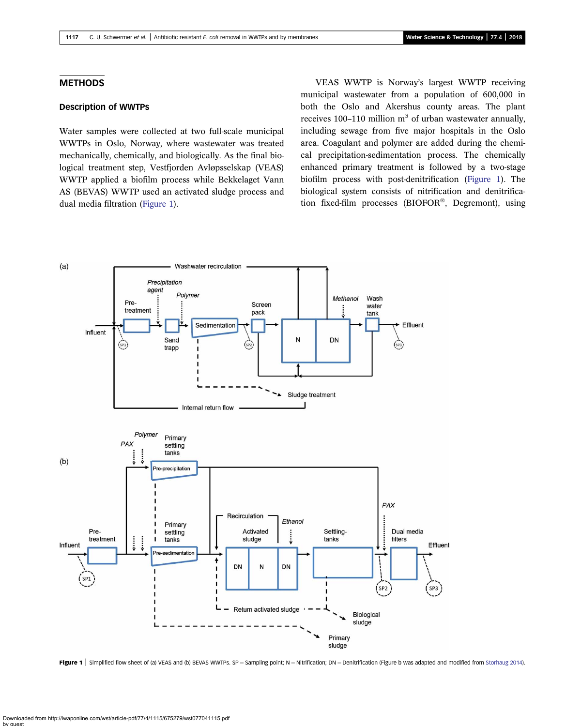## <span id="page-2-0"></span>**METHODS**

## Description of WWTPs

Water samples were collected at two full-scale municipal WWTPs in Oslo, Norway, where wastewater was treated mechanically, chemically, and biologically. As the final biological treatment step, Vestfjorden Avløpsselskap (VEAS) WWTP applied a biofilm process while Bekkelaget Vann AS (BEVAS) WWTP used an activated sludge process and dual media filtration (Figure 1).

VEAS WWTP is Norway's largest WWTP receiving municipal wastewater from a population of 600,000 in both the Oslo and Akershus county areas. The plant receives 100–110 million  $m<sup>3</sup>$  of urban wastewater annually, including sewage from five major hospitals in the Oslo area. Coagulant and polymer are added during the chemical precipitation-sedimentation process. The chemically enhanced primary treatment is followed by a two-stage biofilm process with post-denitrification (Figure 1). The biological system consists of nitrification and denitrification fixed-film processes (BIOFOR®, Degremont), using



Figure 1 Simplified flow sheet of (a) VEAS and (b) BEVAS WWTPs. SP = Sampling point; N = Nitrification; DN = Denitrification (Figure b was adapted and modified from [Storhaug 2014\)](#page-11-0).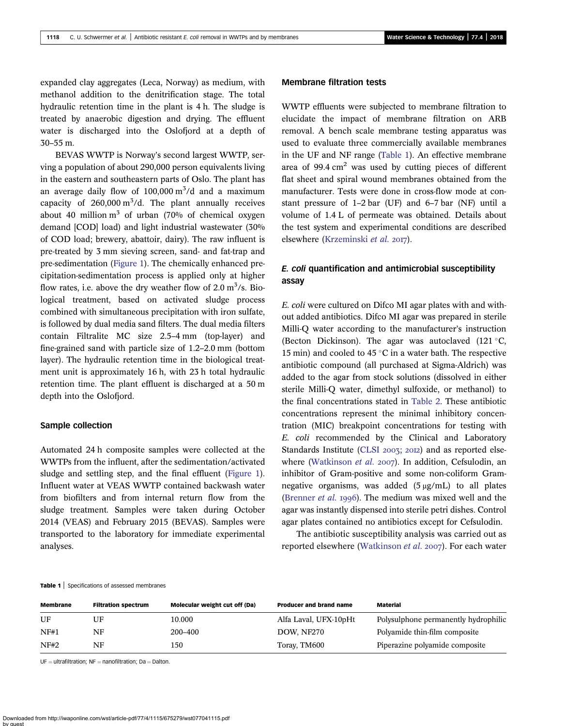expanded clay aggregates (Leca, Norway) as medium, with methanol addition to the denitrification stage. The total hydraulic retention time in the plant is 4 h. The sludge is treated by anaerobic digestion and drying. The effluent water is discharged into the Oslofjord at a depth of 30–55 m.

BEVAS WWTP is Norway's second largest WWTP, serving a population of about 290,000 person equivalents living in the eastern and southeastern parts of Oslo. The plant has an average daily flow of  $100,000 \text{ m}^3/\text{d}$  and a maximum capacity of  $260,000 \text{ m}^3/\text{d}$ . The plant annually receives about 40 million  $m<sup>3</sup>$  of urban (70% of chemical oxygen demand [COD] load) and light industrial wastewater (30% of COD load; brewery, abattoir, dairy). The raw influent is pre-treated by 3 mm sieving screen, sand- and fat-trap and pre-sedimentation ([Figure 1](#page-2-0)). The chemically enhanced precipitation-sedimentation process is applied only at higher flow rates, i.e. above the dry weather flow of  $2.0 \text{ m}^3/\text{s}$ . Biological treatment, based on activated sludge process combined with simultaneous precipitation with iron sulfate, is followed by dual media sand filters. The dual media filters contain Filtralite MC size 2.5–4 mm (top-layer) and fine-grained sand with particle size of 1.2–2.0 mm (bottom layer). The hydraulic retention time in the biological treatment unit is approximately 16 h, with 23 h total hydraulic retention time. The plant effluent is discharged at a 50 m depth into the Oslofjord.

#### Sample collection

Automated 24 h composite samples were collected at the WWTPs from the influent, after the sedimentation/activated sludge and settling step, and the final effluent [\(Figure 1](#page-2-0)). Influent water at VEAS WWTP contained backwash water from biofilters and from internal return flow from the sludge treatment. Samples were taken during October 2014 (VEAS) and February 2015 (BEVAS). Samples were transported to the laboratory for immediate experimental analyses.

## Membrane filtration tests

WWTP effluents were subjected to membrane filtration to elucidate the impact of membrane filtration on ARB removal. A bench scale membrane testing apparatus was used to evaluate three commercially available membranes in the UF and NF range (Table 1). An effective membrane area of 99.4  $\text{cm}^2$  was used by cutting pieces of different flat sheet and spiral wound membranes obtained from the manufacturer. Tests were done in cross-flow mode at constant pressure of 1–2 bar (UF) and 6–7 bar (NF) until a volume of 1.4 L of permeate was obtained. Details about the test system and experimental conditions are described elsewhere ([Krzeminski](#page-11-0) et al. 2017).

# E. coli quantification and antimicrobial susceptibility assay

E. coli were cultured on Difco MI agar plates with and without added antibiotics. Difco MI agar was prepared in sterile Milli-Q water according to the manufacturer's instruction (Becton Dickinson). The agar was autoclaved  $(121 \degree C,$ 15 min) and cooled to 45  $\degree$ C in a water bath. The respective antibiotic compound (all purchased at Sigma-Aldrich) was added to the agar from stock solutions (dissolved in either sterile Milli-Q water, dimethyl sulfoxide, or methanol) to the final concentrations stated in [Table 2](#page-4-0). These antibiotic concentrations represent the minimal inhibitory concentration (MIC) breakpoint concentrations for testing with E. coli recommended by the Clinical and Laboratory Standards Institute ([CLSI](#page-11-0) 2003; 2012) and as reported else-where [\(Watkinson](#page-11-0) et al. 2007). In addition, Cefsulodin, an inhibitor of Gram-positive and some non-coliform Gramnegative organisms, was added  $(5 \mu g/mL)$  to all plates ([Brenner](#page-11-0)  $et$  al. 1996). The medium was mixed well and the agar was instantly dispensed into sterile petri dishes. Control agar plates contained no antibiotics except for Cefsulodin.

The antibiotic susceptibility analysis was carried out as reported elsewhere ([Watkinson](#page-11-0) *et al.* 2007). For each water

Table 1 | Specifications of assessed membranes

| <b>Membrane</b> | <b>Filtration spectrum</b> | <b>Molecular weight cut off (Da)</b> | <b>Producer and brand name</b> | <b>Material</b>                      |
|-----------------|----------------------------|--------------------------------------|--------------------------------|--------------------------------------|
| UF              | UF                         | 10.000                               | Alfa Laval, UFX-10pHt          | Polysulphone permanently hydrophilic |
| NF#1            | NF.                        | 200-400                              | DOW, NF270                     | Polyamide thin-film composite        |
| NF#2            | NF                         | 150                                  | Toray, TM600                   | Piperazine polyamide composite       |

 $UF = ultrafiltration; NF = nanofiltration; Da = Dalton.$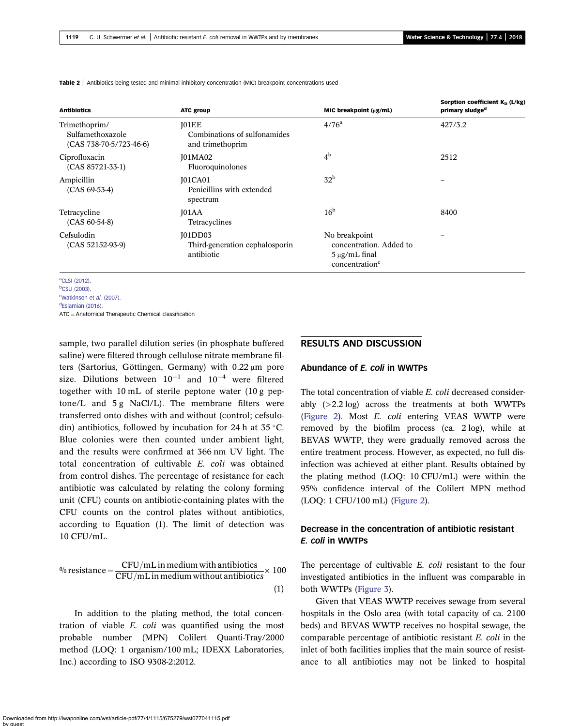| <b>Antibiotics</b>                                             | <b>ATC group</b>                                                 | MIC breakpoint (µg/mL)                                                                       | Sorption coefficient K <sub>D</sub> (L/kg)<br>primary sludge <sup>d</sup> |
|----------------------------------------------------------------|------------------------------------------------------------------|----------------------------------------------------------------------------------------------|---------------------------------------------------------------------------|
| Trimethoprim/<br>Sulfamethoxazole<br>$(CAS 738-70-5/723-46-6)$ | <b>JO1EE</b><br>Combinations of sulfonamides<br>and trimethoprim | $4/76^{\rm a}$                                                                               | 427/3.2                                                                   |
| Ciprofloxacin<br>$(CAS 85721-33-1)$                            | J01MA02<br>Fluoroquinolones                                      | 4 <sup>b</sup>                                                                               | 2512                                                                      |
| Ampicillin<br>$(CAS 69-53-4)$                                  | <b>J01CA01</b><br>Penicillins with extended<br>spectrum          | 32 <sup>b</sup>                                                                              |                                                                           |
| Tetracycline<br>$(CAS 60-54-8)$                                | IO <sub>1</sub> AA<br>Tetracyclines                              | 16 <sup>b</sup>                                                                              | 8400                                                                      |
| Cefsulodin<br>$(CAS 52152-93-9)$                               | <b>J01DD03</b><br>Third-generation cephalosporin<br>antibiotic   | No breakpoint<br>concentration. Added to<br>$5 \mu g/mL$ final<br>concentration <sup>c</sup> |                                                                           |

<span id="page-4-0"></span>**Table 2** Antibiotics being tested and minimal inhibitory concentration (MIC) breakpoint concentrations used

a [CLSI \(2012\)](#page-11-0).

b [CSLI \(2003\).](#page-11-0) <sup>c</sup>[Watkinson](#page-11-0) et al. (2007).

<sup>d</sup>[Eslamian \(2016\)](#page-11-0).

 $ATC =$  Anatomical Therapeutic Chemical classification

sample, two parallel dilution series (in phosphate buffered saline) were filtered through cellulose nitrate membrane filters (Sartorius, Göttingen, Germany) with 0.22 μm pore size. Dilutions between  $10^{-1}$  and  $10^{-4}$  were filtered together with 10 mL of sterile peptone water (10 g peptone/L and  $5 g$  NaCl/L). The membrane filters were transferred onto dishes with and without (control; cefsulodin) antibiotics, followed by incubation for 24 h at  $35^{\circ}$ C. Blue colonies were then counted under ambient light, and the results were confirmed at 366 nm UV light. The total concentration of cultivable E. coli was obtained from control dishes. The percentage of resistance for each antibiotic was calculated by relating the colony forming unit (CFU) counts on antibiotic-containing plates with the CFU counts on the control plates without antibiotics, according to Equation (1). The limit of detection was 10 CFU/mL.

<sup>9</sup>0 resistance = 
$$
\frac{CFU/mL \text{ in medium with antibiotics}}{CFU/mL \text{ in medium without antibiotics}} \times 100
$$
\n(1)

In addition to the plating method, the total concentration of viable E. coli was quantified using the most probable number (MPN) Colilert Quanti-Tray/2000 method (LOQ: 1 organism/100 mL; IDEXX Laboratories, Inc.) according to ISO 9308-2:2012.

#### RESULTS AND DISCUSSION

#### Abundance of E. coli in WWTPs

The total concentration of viable E. coli decreased considerably (>2.2 log) across the treatments at both WWTPs [\(Figure 2](#page-5-0)). Most E. coli entering VEAS WWTP were removed by the biofilm process (ca. 2 log), while at BEVAS WWTP, they were gradually removed across the entire treatment process. However, as expected, no full disinfection was achieved at either plant. Results obtained by the plating method (LOQ: 10 CFU/mL) were within the 95% confidence interval of the Colilert MPN method (LOQ: 1 CFU/100 mL) [\(Figure 2\)](#page-5-0).

# Decrease in the concentration of antibiotic resistant E. coli in WWTPs

The percentage of cultivable *E. coli* resistant to the four investigated antibiotics in the influent was comparable in both WWTPs [\(Figure 3\)](#page-6-0).

Given that VEAS WWTP receives sewage from several hospitals in the Oslo area (with total capacity of ca. 2100 beds) and BEVAS WWTP receives no hospital sewage, the comparable percentage of antibiotic resistant E. coli in the inlet of both facilities implies that the main source of resistance to all antibiotics may not be linked to hospital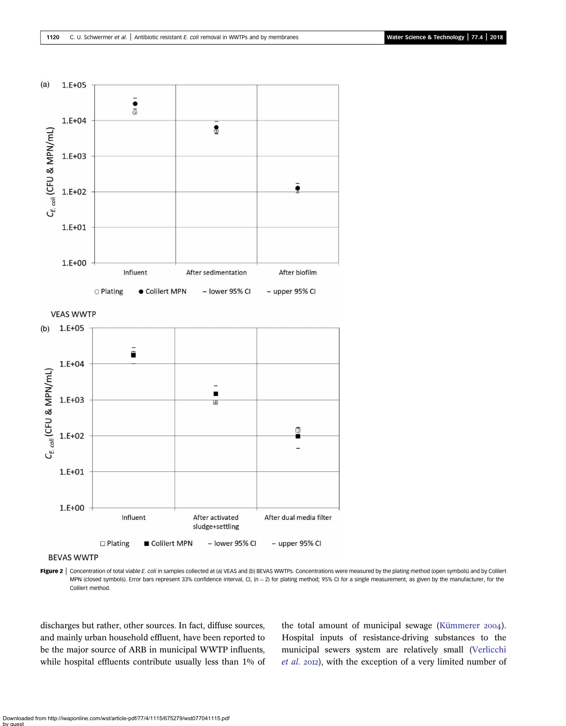<span id="page-5-0"></span>

**BEVAS WWTP** 

Figure 2 | Concentration of total viable E. coli in samples collected at (a) VEAS and (b) BEVAS WWTPs. Concentrations were measured by the plating method (open symbols) and by Colilert MPN (closed symbols). Error bars represent 33% confidence interval, CI, (n = 2) for plating method; 95% CI for a single measurement, as given by the manufacturer, for the Colilert method.

discharges but rather, other sources. In fact, diffuse sources, and mainly urban household effluent, have been reported to be the major source of ARB in municipal WWTP influents, while hospital effluents contribute usually less than 1% of the total amount of municipal sewage [\(Kümmerer](#page-11-0) 2004). Hospital inputs of resistance-driving substances to the municipal sewers system are relatively small ([Verlicchi](#page-11-0)  $et$  al. 2012), with the exception of a very limited number of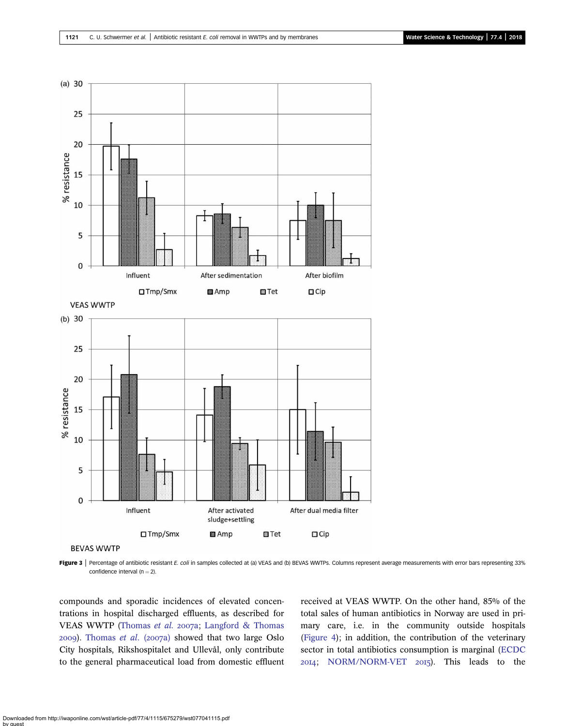<span id="page-6-0"></span>

Figure 3 | Percentage of antibiotic resistant E. coli in samples collected at (a) VEAS and (b) BEVAS WWTPs. Columns represent average measurements with error bars representing 33% confidence interval  $(n = 2)$ .

compounds and sporadic incidences of elevated concentrations in hospital discharged effluents, as described for VEAS WWTP ([Thomas](#page-11-0) et al. 2007a; [Langford & Thomas](#page-11-0)  $2009$ ). [Thomas](#page-11-0) et al. (2007a) showed that two large Oslo City hospitals, Rikshospitalet and Ullevål, only contribute to the general pharmaceutical load from domestic effluent received at VEAS WWTP. On the other hand, 85% of the total sales of human antibiotics in Norway are used in primary care, i.e. in the community outside hospitals [\(Figure 4\)](#page-7-0); in addition, the contribution of the veterinary sector in total antibiotics consumption is marginal [\(ECDC](#page-11-0) 2014; [NORM/NORM-VET](#page-11-0) 2015). This leads to the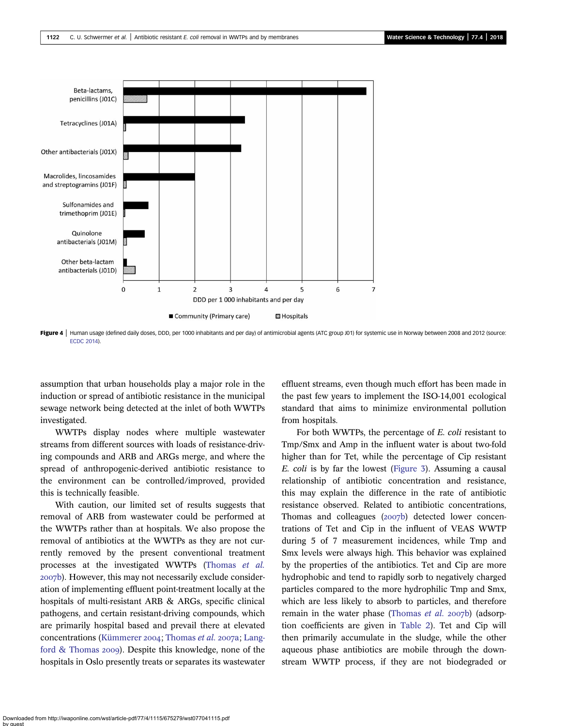<span id="page-7-0"></span>

Figure 4 | Human usage (defined daily doses, DDD, per 1000 inhabitants and per day) of antimicrobial agents (ATC group J01) for systemic use in Norway between 2008 and 2012 (source: [ECDC 2014\)](#page-11-0).

assumption that urban households play a major role in the induction or spread of antibiotic resistance in the municipal sewage network being detected at the inlet of both WWTPs investigated.

WWTPs display nodes where multiple wastewater streams from different sources with loads of resistance-driving compounds and ARB and ARGs merge, and where the spread of anthropogenic-derived antibiotic resistance to the environment can be controlled/improved, provided this is technically feasible.

With caution, our limited set of results suggests that removal of ARB from wastewater could be performed at the WWTPs rather than at hospitals. We also propose the removal of antibiotics at the WWTPs as they are not currently removed by the present conventional treatment processes at the investigated WWTPs ([Thomas](#page-11-0) et al. 2007b). However, this may not necessarily exclude consideration of implementing effluent point-treatment locally at the hospitals of multi-resistant ARB & ARGs, specific clinical pathogens, and certain resistant-driving compounds, which are primarily hospital based and prevail there at elevated concentrations ([Kümmerer](#page-11-0) 2004; [Thomas](#page-11-0) et al. 2007a; [Lang](#page-11-0)ford  $&$  Thomas 2009). Despite this knowledge, none of the hospitals in Oslo presently treats or separates its wastewater effluent streams, even though much effort has been made in the past few years to implement the ISO-14,001 ecological standard that aims to minimize environmental pollution from hospitals.

For both WWTPs, the percentage of E. coli resistant to Tmp/Smx and Amp in the influent water is about two-fold higher than for Tet, while the percentage of Cip resistant E. coli is by far the lowest ([Figure 3](#page-6-0)). Assuming a causal relationship of antibiotic concentration and resistance, this may explain the difference in the rate of antibiotic resistance observed. Related to antibiotic concentrations, Thomas and colleagues  $(2007b)$  detected lower concentrations of Tet and Cip in the influent of VEAS WWTP during 5 of 7 measurement incidences, while Tmp and Smx levels were always high. This behavior was explained by the properties of the antibiotics. Tet and Cip are more hydrophobic and tend to rapidly sorb to negatively charged particles compared to the more hydrophilic Tmp and Smx, which are less likely to absorb to particles, and therefore remain in the water phase [\(Thomas](#page-11-0)  $et$  al.  $2007b$ ) (adsorption coefficients are given in [Table 2\)](#page-4-0). Tet and Cip will then primarily accumulate in the sludge, while the other aqueous phase antibiotics are mobile through the downstream WWTP process, if they are not biodegraded or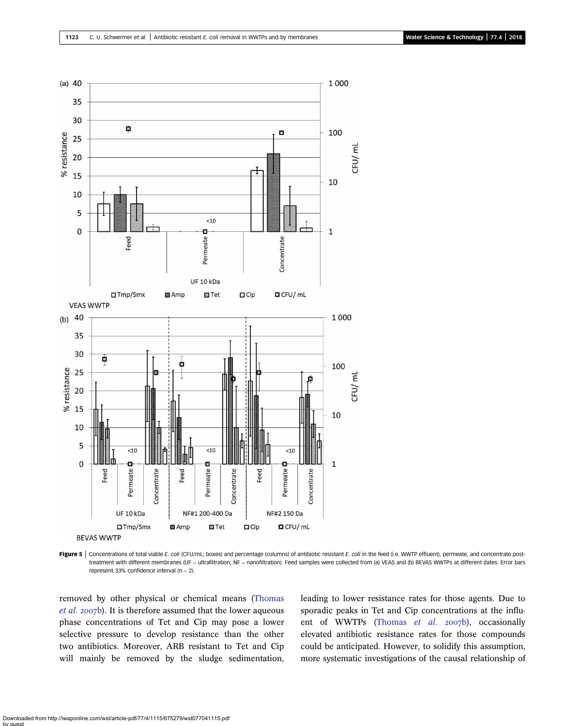<span id="page-8-0"></span>

Figure 5 | Concentrations of total viable E. coli (CFU/mL; boxes) and percentage (columns) of antibiotic resistant E. coli in the feed (i.e. WWTP effluent), permeate, and concentrate posttreatment with different membranes (UF = ultrafiltration; NF = nanofiltration). Feed samples were collected from (a) VEAS and (b) BEVAS WWTPs at different dates. Error bars represent 33% confidence interval  $(n = 2)$ .

removed by other physical or chemical means ([Thomas](#page-11-0) [et al.](#page-11-0) 2007b). It is therefore assumed that the lower aqueous phase concentrations of Tet and Cip may pose a lower selective pressure to develop resistance than the other two antibiotics. Moreover, ARB resistant to Tet and Cip will mainly be removed by the sludge sedimentation, leading to lower resistance rates for those agents. Due to sporadic peaks in Tet and Cip concentrations at the influ-ent of WWTPs ([Thomas](#page-11-0) et al. 2007b), occasionally elevated antibiotic resistance rates for those compounds could be anticipated. However, to solidify this assumption, more systematic investigations of the causal relationship of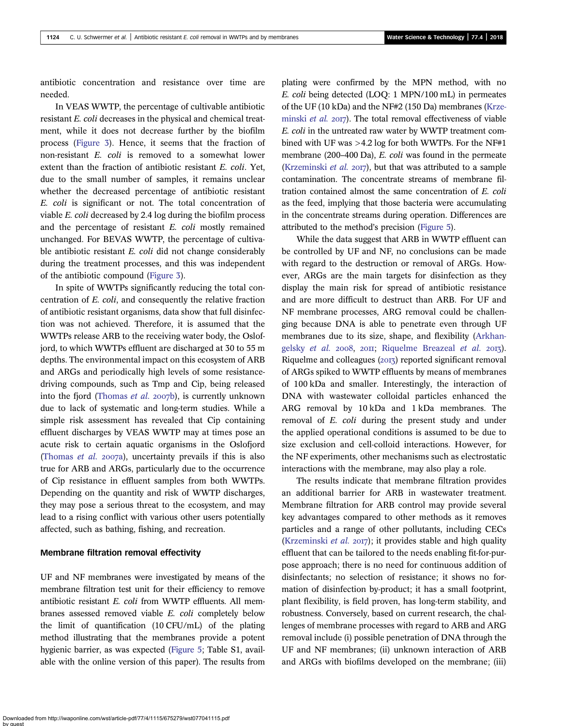antibiotic concentration and resistance over time are needed.

In VEAS WWTP, the percentage of cultivable antibiotic resistant E. coli decreases in the physical and chemical treatment, while it does not decrease further by the biofilm process ([Figure 3\)](#page-6-0). Hence, it seems that the fraction of non-resistant E. coli is removed to a somewhat lower extent than the fraction of antibiotic resistant E. coli. Yet, due to the small number of samples, it remains unclear whether the decreased percentage of antibiotic resistant E. coli is significant or not. The total concentration of viable E. coli decreased by 2.4 log during the biofilm process and the percentage of resistant E. coli mostly remained unchanged. For BEVAS WWTP, the percentage of cultivable antibiotic resistant E. coli did not change considerably during the treatment processes, and this was independent of the antibiotic compound [\(Figure 3\)](#page-6-0).

In spite of WWTPs significantly reducing the total concentration of E. coli, and consequently the relative fraction of antibiotic resistant organisms, data show that full disinfection was not achieved. Therefore, it is assumed that the WWTPs release ARB to the receiving water body, the Oslofjord, to which WWTPs effluent are discharged at 30 to 55 m depths. The environmental impact on this ecosystem of ARB and ARGs and periodically high levels of some resistancedriving compounds, such as Tmp and Cip, being released into the fjord [\(Thomas](#page-11-0) et al. 2007b), is currently unknown due to lack of systematic and long-term studies. While a simple risk assessment has revealed that Cip containing effluent discharges by VEAS WWTP may at times pose an acute risk to certain aquatic organisms in the Oslofjord ([Thomas](#page-11-0) *et al.* 2007a), uncertainty prevails if this is also true for ARB and ARGs, particularly due to the occurrence of Cip resistance in effluent samples from both WWTPs. Depending on the quantity and risk of WWTP discharges, they may pose a serious threat to the ecosystem, and may lead to a rising conflict with various other users potentially affected, such as bathing, fishing, and recreation.

#### Membrane filtration removal effectivity

UF and NF membranes were investigated by means of the membrane filtration test unit for their efficiency to remove antibiotic resistant E. coli from WWTP effluents. All membranes assessed removed viable E. coli completely below the limit of quantification (10 CFU/mL) of the plating method illustrating that the membranes provide a potent hygienic barrier, as was expected [\(Figure 5](#page-8-0); Table S1, available with the online version of this paper). The results from plating were confirmed by the MPN method, with no E. coli being detected (LOQ: 1 MPN/100 mL) in permeates of the UF (10 kDa) and the NF#2 (150 Da) membranes [\(Krze](#page-11-0)[minski](#page-11-0) *et al.*  $20T$ . The total removal effectiveness of viable E. coli in the untreated raw water by WWTP treatment combined with UF was >4.2 log for both WWTPs. For the NF#1 membrane (200–400 Da), E. coli was found in the permeate [\(Krzeminski](#page-11-0) *et al.* 2017), but that was attributed to a sample contamination. The concentrate streams of membrane filtration contained almost the same concentration of E. coli as the feed, implying that those bacteria were accumulating in the concentrate streams during operation. Differences are attributed to the method's precision ([Figure 5\)](#page-8-0).

While the data suggest that ARB in WWTP effluent can be controlled by UF and NF, no conclusions can be made with regard to the destruction or removal of ARGs. However, ARGs are the main targets for disinfection as they display the main risk for spread of antibiotic resistance and are more difficult to destruct than ARB. For UF and NF membrane processes, ARG removal could be challenging because DNA is able to penetrate even through UF membranes due to its size, shape, and flexibility [\(Arkhan](#page-10-0)[gelsky](#page-10-0) et al.  $2008$ ,  $20II$ ; [Riquelme Breazeal](#page-11-0) et al.  $20I$ ; Riquelme and colleagues  $(2017)$  reported significant removal of ARGs spiked to WWTP effluents by means of membranes of 100 kDa and smaller. Interestingly, the interaction of DNA with wastewater colloidal particles enhanced the ARG removal by 10 kDa and 1 kDa membranes. The removal of E. coli during the present study and under the applied operational conditions is assumed to be due to size exclusion and cell-colloid interactions. However, for the NF experiments, other mechanisms such as electrostatic interactions with the membrane, may also play a role.

The results indicate that membrane filtration provides an additional barrier for ARB in wastewater treatment. Membrane filtration for ARB control may provide several key advantages compared to other methods as it removes particles and a range of other pollutants, including CECs ([Krzeminski](#page-11-0) *et al.* 2017); it provides stable and high quality effluent that can be tailored to the needs enabling fit-for-purpose approach; there is no need for continuous addition of disinfectants; no selection of resistance; it shows no formation of disinfection by-product; it has a small footprint, plant flexibility, is field proven, has long-term stability, and robustness. Conversely, based on current research, the challenges of membrane processes with regard to ARB and ARG removal include (i) possible penetration of DNA through the UF and NF membranes; (ii) unknown interaction of ARB and ARGs with biofilms developed on the membrane; (iii)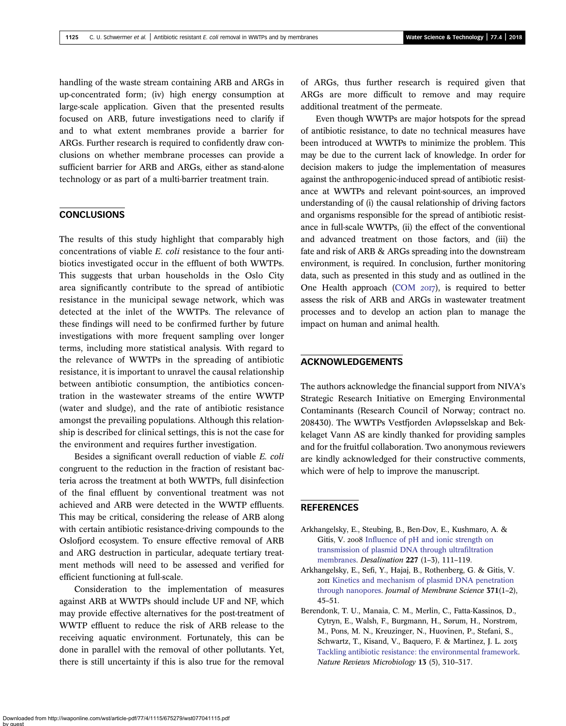<span id="page-10-0"></span>handling of the waste stream containing ARB and ARGs in up-concentrated form; (iv) high energy consumption at large-scale application. Given that the presented results focused on ARB, future investigations need to clarify if and to what extent membranes provide a barrier for ARGs. Further research is required to confidently draw conclusions on whether membrane processes can provide a sufficient barrier for ARB and ARGs, either as stand-alone technology or as part of a multi-barrier treatment train.

# **CONCLUSIONS**

The results of this study highlight that comparably high concentrations of viable E. coli resistance to the four antibiotics investigated occur in the effluent of both WWTPs. This suggests that urban households in the Oslo City area significantly contribute to the spread of antibiotic resistance in the municipal sewage network, which was detected at the inlet of the WWTPs. The relevance of these findings will need to be confirmed further by future investigations with more frequent sampling over longer terms, including more statistical analysis. With regard to the relevance of WWTPs in the spreading of antibiotic resistance, it is important to unravel the causal relationship between antibiotic consumption, the antibiotics concentration in the wastewater streams of the entire WWTP (water and sludge), and the rate of antibiotic resistance amongst the prevailing populations. Although this relationship is described for clinical settings, this is not the case for the environment and requires further investigation.

Besides a significant overall reduction of viable E. coli congruent to the reduction in the fraction of resistant bacteria across the treatment at both WWTPs, full disinfection of the final effluent by conventional treatment was not achieved and ARB were detected in the WWTP effluents. This may be critical, considering the release of ARB along with certain antibiotic resistance-driving compounds to the Oslofjord ecosystem. To ensure effective removal of ARB and ARG destruction in particular, adequate tertiary treatment methods will need to be assessed and verified for efficient functioning at full-scale.

Consideration to the implementation of measures against ARB at WWTPs should include UF and NF, which may provide effective alternatives for the post-treatment of WWTP effluent to reduce the risk of ARB release to the receiving aquatic environment. Fortunately, this can be done in parallel with the removal of other pollutants. Yet, there is still uncertainty if this is also true for the removal

of ARGs, thus further research is required given that ARGs are more difficult to remove and may require additional treatment of the permeate.

Even though WWTPs are major hotspots for the spread of antibiotic resistance, to date no technical measures have been introduced at WWTPs to minimize the problem. This may be due to the current lack of knowledge. In order for decision makers to judge the implementation of measures against the anthropogenic-induced spread of antibiotic resistance at WWTPs and relevant point-sources, an improved understanding of (i) the causal relationship of driving factors and organisms responsible for the spread of antibiotic resistance in full-scale WWTPs, (ii) the effect of the conventional and advanced treatment on those factors, and (iii) the fate and risk of ARB & ARGs spreading into the downstream environment, is required. In conclusion, further monitoring data, such as presented in this study and as outlined in the One Health approach [\(COM](#page-11-0)  $20I7$ ), is required to better assess the risk of ARB and ARGs in wastewater treatment processes and to develop an action plan to manage the impact on human and animal health.

## ACKNOWLEDGEMENTS

The authors acknowledge the financial support from NIVA's Strategic Research Initiative on Emerging Environmental Contaminants (Research Council of Norway; contract no. 208430). The WWTPs Vestfjorden Avløpsselskap and Bekkelaget Vann AS are kindly thanked for providing samples and for the fruitful collaboration. Two anonymous reviewers are kindly acknowledged for their constructive comments, which were of help to improve the manuscript.

# **REFERENCES**

- Arkhangelsky, E., Steubing, B., Ben-Dov, E., Kushmaro, A. & Gitis, V. 2008 [Influence of pH and ionic strength on](http://dx.doi.org/10.1016/j.desal.2007.07.017) [transmission of plasmid DNA through ultrafiltration](http://dx.doi.org/10.1016/j.desal.2007.07.017) [membranes.](http://dx.doi.org/10.1016/j.desal.2007.07.017) Desalination 227 (1–3), 111–119.
- Arkhangelsky, E., Sefi, Y., Hajaj, B., Rothenberg, G. & Gitis, V. 2011 [Kinetics and mechanism of plasmid DNA penetration](http://dx.doi.org/10.1016/j.memsci.2011.01.014) [through nanopores.](http://dx.doi.org/10.1016/j.memsci.2011.01.014) Journal of Membrane Science 371(1-2), 45–51.
- Berendonk, T. U., Manaia, C. M., Merlin, C., Fatta-Kassinos, D., Cytryn, E., Walsh, F., Burgmann, H., Sørum, H., Norstrøm, M., Pons, M. N., Kreuzinger, N., Huovinen, P., Stefani, S., Schwartz, T., Kisand, V., Baquero, F. & Martinez, J. L. [Tackling antibiotic resistance: the environmental framework](http://dx.doi.org/10.1038/nrmicro3439). Nature Reviews Microbiology 13 (5), 310–317.